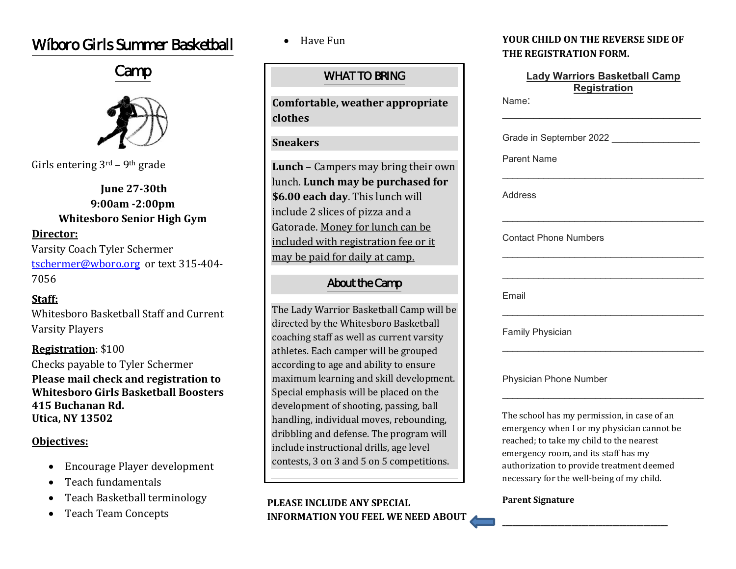# W'boro Girls Summer Basketball

# Camp



Girls entering  $3<sup>rd</sup>$  – 9<sup>th</sup> grade

**June 27-30th 9:00am -2:00pm Whitesboro Senior High Gym**

### **Director:**

Varsity Coach Tyler Schermer [tschermer@wboro.org](mailto:tschermer@wboro.org) or text 315-404- 7056

### **Staff:**

Whitesboro Basketball Staff and Current Varsity Players

## **Registration**: \$100

Checks payable to Tyler Schermer **Please mail check and registration to Whitesboro Girls Basketball Boosters 415 Buchanan Rd. Utica, NY 13502**

### **Objectives:**

- Encourage Player development
- Teach fundamentals
- Teach Basketball terminology
- Teach Team Concepts

• Have Fun

### WHAT TO BRING

**Comfortable, weather appropriate clothes**

### **Sneakers**

**Lunch** – Campers may bring their own lunch. **Lunch may be purchased for \$6.00 each day**. This lunch will include 2 slices of pizza and a Gatorade. Money for lunch can be included with registration fee or it may be paid for daily at camp.

### About the Camp

The Lady Warrior Basketball Camp will be directed by the Whitesboro Basketball coaching staff as well as current varsity athletes. Each camper will be grouped according to age and ability to ensure maximum learning and skill development. Special emphasis will be placed on the development of shooting, passing, ball handling, individual moves, rebounding, dribbling and defense. The program will include instructional drills, age level contests, 3 on 3 and 5 on 5 competitions.

### **PLEASE INCLUDE ANY SPECIAL INFORMATION YOU FEEL WE NEED ABOUT**

### **YOUR CHILD ON THE REVERSE SIDE OF THE REGISTRATION FORM.**

| <b>Lady Warriors Basketball Camp</b><br><b>Registration</b><br>Name: |                                                                                                                                                                                                                            |
|----------------------------------------------------------------------|----------------------------------------------------------------------------------------------------------------------------------------------------------------------------------------------------------------------------|
|                                                                      | Grade in September 2022                                                                                                                                                                                                    |
| <b>Parent Name</b>                                                   |                                                                                                                                                                                                                            |
| Address                                                              |                                                                                                                                                                                                                            |
| <b>Contact Phone Numbers</b>                                         |                                                                                                                                                                                                                            |
| Email                                                                |                                                                                                                                                                                                                            |
| <b>Family Physician</b>                                              |                                                                                                                                                                                                                            |
| <b>Physician Phone Number</b>                                        |                                                                                                                                                                                                                            |
|                                                                      | The school has my permission, in case of an<br>emergency when I or my physician cannot be<br>reached; to take my child to the nearest<br>emergency room, and its staff has my<br>authorization to provide treatment deemed |

#### **Parent Signature**

necessary for the well-being of my child.

**\_\_\_\_\_\_\_\_\_\_\_\_\_\_\_\_\_\_\_\_\_\_\_\_\_\_\_\_\_\_\_\_\_\_\_\_\_\_\_\_\_\_\_\_\_\_\_\_**